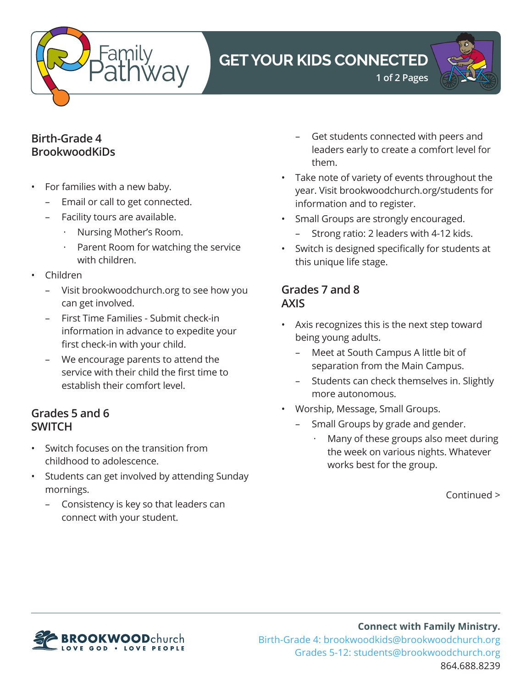

# **GET YOUR KIDS CONNECTED**



#### **Birth-Grade 4 BrookwoodKiDs**

- For families with a new baby.
	- Email or call to get connected.
	- Facility tours are available.
		- · Nursing Mother's Room.
		- Parent Room for watching the service with children.
- Children
	- Visit brookwoodchurch.org to see how you can get involved.
	- First Time Families Submit check-in information in advance to expedite your first check-in with your child.
	- We encourage parents to attend the service with their child the first time to establish their comfort level.

### **Grades 5 and 6 SWITCH**

- Switch focuses on the transition from childhood to adolescence.
- Students can get involved by attending Sunday mornings.
	- Consistency is key so that leaders can connect with your student.

– Get students connected with peers and leaders early to create a comfort level for them.

**1 of 2 Pages**

- Take note of variety of events throughout the year. Visit brookwoodchurch.org/students for information and to register.
- Small Groups are strongly encouraged.
	- Strong ratio: 2 leaders with 4-12 kids.
- Switch is designed specifically for students at this unique life stage.

#### **Grades 7 and 8 AXIS**

- Axis recognizes this is the next step toward being young adults.
	- Meet at South Campus A little bit of separation from the Main Campus.
	- Students can check themselves in. Slightly more autonomous.
- Worship, Message, Small Groups.
	- Small Groups by grade and gender.
		- Many of these groups also meet during the week on various nights. Whatever works best for the group.

Continued >